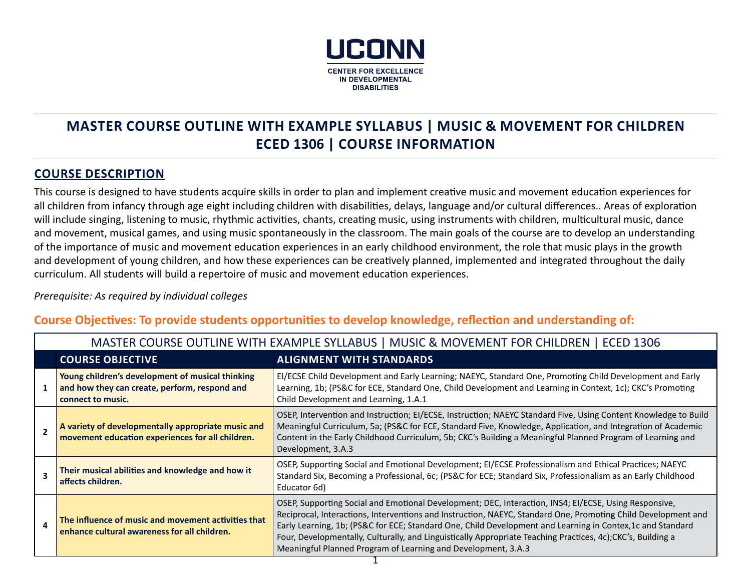

# **MASTER COURSE OUTLINE WITH EXAMPLE SYLLABUS | MUSIC & MOVEMENT FOR CHILDREN ECED 1306 | COURSE INFORMATION**

### **COURSE DESCRIPTION**

This course is designed to have students acquire skills in order to plan and implement creative music and movement education experiences for all children from infancy through age eight including children with disabilities, delays, language and/or cultural differences.. Areas of exploration will include singing, listening to music, rhythmic activities, chants, creating music, using instruments with children, multicultural music, dance and movement, musical games, and using music spontaneously in the classroom. The main goals of the course are to develop an understanding of the importance of music and movement education experiences in an early childhood environment, the role that music plays in the growth and development of young children, and how these experiences can be creatively planned, implemented and integrated throughout the daily curriculum. All students will build a repertoire of music and movement education experiences.

#### *Prerequisite: As required by individual colleges*

### **Course Objectives: To provide students opportunities to develop knowledge, reflection and understanding of:**

|                          | MASTER COURSE OUTLINE WITH EXAMPLE SYLLABUS   MUSIC & MOVEMENT FOR CHILDREN   ECED 1306 |                                                                                                                        |                                                                                                                                                                                                                                                                                                                                                                                                                                                                                                                      |  |  |
|--------------------------|-----------------------------------------------------------------------------------------|------------------------------------------------------------------------------------------------------------------------|----------------------------------------------------------------------------------------------------------------------------------------------------------------------------------------------------------------------------------------------------------------------------------------------------------------------------------------------------------------------------------------------------------------------------------------------------------------------------------------------------------------------|--|--|
|                          |                                                                                         | <b>COURSE OBJECTIVE</b>                                                                                                | <b>ALIGNMENT WITH STANDARDS</b>                                                                                                                                                                                                                                                                                                                                                                                                                                                                                      |  |  |
|                          |                                                                                         | Young children's development of musical thinking<br>and how they can create, perform, respond and<br>connect to music. | EI/ECSE Child Development and Early Learning; NAEYC, Standard One, Promoting Child Development and Early<br>Learning, 1b; (PS&C for ECE, Standard One, Child Development and Learning in Context, 1c); CKC's Promoting<br>Child Development and Learning, 1.A.1                                                                                                                                                                                                                                                      |  |  |
| $\overline{\phantom{a}}$ |                                                                                         | A variety of developmentally appropriate music and<br>movement education experiences for all children.                 | OSEP, Intervention and Instruction; EI/ECSE, Instruction; NAEYC Standard Five, Using Content Knowledge to Build<br>Meaningful Curriculum, 5a; (PS&C for ECE, Standard Five, Knowledge, Application, and Integration of Academic<br>Content in the Early Childhood Curriculum, 5b; CKC's Building a Meaningful Planned Program of Learning and<br>Development, 3.A.3                                                                                                                                                  |  |  |
| 4                        |                                                                                         | Their musical abilities and knowledge and how it<br>affects children.                                                  | OSEP, Supporting Social and Emotional Development; EI/ECSE Professionalism and Ethical Practices; NAEYC<br>Standard Six, Becoming a Professional, 6c; (PS&C for ECE; Standard Six, Professionalism as an Early Childhood<br>Educator 6d)                                                                                                                                                                                                                                                                             |  |  |
|                          |                                                                                         | The influence of music and movement activities that<br>enhance cultural awareness for all children.                    | OSEP, Supporting Social and Emotional Development; DEC, Interaction, INS4; EI/ECSE, Using Responsive,<br>Reciprocal, Interactions, Interventions and Instruction, NAEYC, Standard One, Promoting Child Development and<br>Early Learning, 1b; (PS&C for ECE; Standard One, Child Development and Learning in Contex, 1c and Standard<br>Four, Developmentally, Culturally, and Linguistically Appropriate Teaching Practices, 4c);CKC's, Building a<br>Meaningful Planned Program of Learning and Development, 3.A.3 |  |  |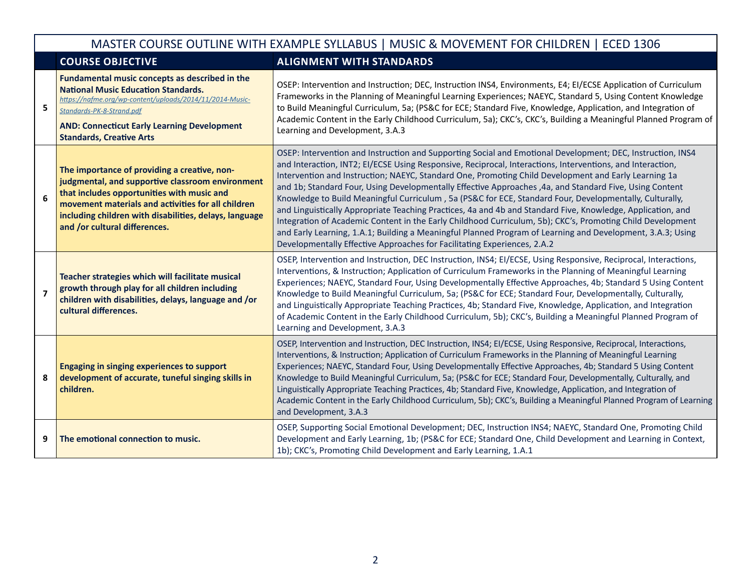|                | MASTER COURSE OUTLINE WITH EXAMPLE SYLLABUS   MUSIC & MOVEMENT FOR CHILDREN   ECED 1306                                                                                                                                                                                                         |                                                                                                                                                                                                                                                                                                                                                                                                                                                                                                                                                                                                                                                                                                                                                                                                                                                                                                                                                                               |  |  |  |
|----------------|-------------------------------------------------------------------------------------------------------------------------------------------------------------------------------------------------------------------------------------------------------------------------------------------------|-------------------------------------------------------------------------------------------------------------------------------------------------------------------------------------------------------------------------------------------------------------------------------------------------------------------------------------------------------------------------------------------------------------------------------------------------------------------------------------------------------------------------------------------------------------------------------------------------------------------------------------------------------------------------------------------------------------------------------------------------------------------------------------------------------------------------------------------------------------------------------------------------------------------------------------------------------------------------------|--|--|--|
|                | <b>COURSE OBJECTIVE</b>                                                                                                                                                                                                                                                                         | <b>ALIGNMENT WITH STANDARDS</b>                                                                                                                                                                                                                                                                                                                                                                                                                                                                                                                                                                                                                                                                                                                                                                                                                                                                                                                                               |  |  |  |
| 5              | Fundamental music concepts as described in the<br><b>National Music Education Standards.</b><br>https://nafme.org/wp-content/uploads/2014/11/2014-Music-<br>Standards-PK-8-Strand.pdf<br><b>AND: Connecticut Early Learning Development</b><br><b>Standards, Creative Arts</b>                  | OSEP: Intervention and Instruction; DEC, Instruction INS4, Environments, E4; EI/ECSE Application of Curriculum<br>Frameworks in the Planning of Meaningful Learning Experiences; NAEYC, Standard 5, Using Content Knowledge<br>to Build Meaningful Curriculum, 5a; (PS&C for ECE; Standard Five, Knowledge, Application, and Integration of<br>Academic Content in the Early Childhood Curriculum, 5a); CKC's, CKC's, Building a Meaningful Planned Program of<br>Learning and Development, 3.A.3                                                                                                                                                                                                                                                                                                                                                                                                                                                                             |  |  |  |
| 6              | The importance of providing a creative, non-<br>judgmental, and supportive classroom environment<br>that includes opportunities with music and<br>movement materials and activities for all children<br>including children with disabilities, delays, language<br>and /or cultural differences. | OSEP: Intervention and Instruction and Supporting Social and Emotional Development; DEC, Instruction, INS4<br>and Interaction, INT2; EI/ECSE Using Responsive, Reciprocal, Interactions, Interventions, and Interaction,<br>Intervention and Instruction; NAEYC, Standard One, Promoting Child Development and Early Learning 1a<br>and 1b; Standard Four, Using Developmentally Effective Approaches ,4a, and Standard Five, Using Content<br>Knowledge to Build Meaningful Curriculum, 5a (PS&C for ECE, Standard Four, Developmentally, Culturally,<br>and Linguistically Appropriate Teaching Practices, 4a and 4b and Standard Five, Knowledge, Application, and<br>Integration of Academic Content in the Early Childhood Curriculum, 5b); CKC's, Promoting Child Development<br>and Early Learning, 1.A.1; Building a Meaningful Planned Program of Learning and Development, 3.A.3; Using<br>Developmentally Effective Approaches for Facilitating Experiences, 2.A.2 |  |  |  |
| $\overline{7}$ | Teacher strategies which will facilitate musical<br>growth through play for all children including<br>children with disabilities, delays, language and /or<br>cultural differences.                                                                                                             | OSEP, Intervention and Instruction, DEC Instruction, INS4; EI/ECSE, Using Responsive, Reciprocal, Interactions,<br>Interventions, & Instruction; Application of Curriculum Frameworks in the Planning of Meaningful Learning<br>Experiences; NAEYC, Standard Four, Using Developmentally Effective Approaches, 4b; Standard 5 Using Content<br>Knowledge to Build Meaningful Curriculum, 5a; (PS&C for ECE; Standard Four, Developmentally, Culturally,<br>and Linguistically Appropriate Teaching Practices, 4b; Standard Five, Knowledge, Application, and Integration<br>of Academic Content in the Early Childhood Curriculum, 5b); CKC's, Building a Meaningful Planned Program of<br>Learning and Development, 3.A.3                                                                                                                                                                                                                                                    |  |  |  |
| 8              | <b>Engaging in singing experiences to support</b><br>development of accurate, tuneful singing skills in<br>children.                                                                                                                                                                            | OSEP, Intervention and Instruction, DEC Instruction, INS4; EI/ECSE, Using Responsive, Reciprocal, Interactions,<br>Interventions, & Instruction; Application of Curriculum Frameworks in the Planning of Meaningful Learning<br>Experiences; NAEYC, Standard Four, Using Developmentally Effective Approaches, 4b; Standard 5 Using Content<br>Knowledge to Build Meaningful Curriculum, 5a; (PS&C for ECE; Standard Four, Developmentally, Culturally, and<br>Linguistically Appropriate Teaching Practices, 4b; Standard Five, Knowledge, Application, and Integration of<br>Academic Content in the Early Childhood Curriculum, 5b); CKC's, Building a Meaningful Planned Program of Learning<br>and Development, 3.A.3                                                                                                                                                                                                                                                    |  |  |  |
| 9              | The emotional connection to music.                                                                                                                                                                                                                                                              | OSEP, Supporting Social Emotional Development; DEC, Instruction INS4; NAEYC, Standard One, Promoting Child<br>Development and Early Learning, 1b; (PS&C for ECE; Standard One, Child Development and Learning in Context,<br>1b); CKC's, Promoting Child Development and Early Learning, 1.A.1                                                                                                                                                                                                                                                                                                                                                                                                                                                                                                                                                                                                                                                                                |  |  |  |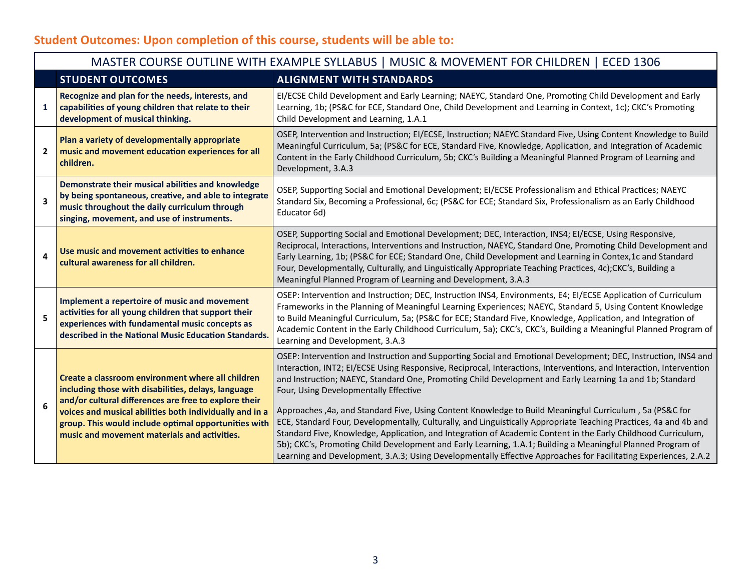# **Student Outcomes: Upon completion of this course, students will be able to:**

| MASTER COURSE OUTLINE WITH EXAMPLE SYLLABUS   MUSIC & MOVEMENT FOR CHILDREN   ECED 1306 |                                                                                                                                                                                                                                                                                                                                      |                                                                                                                                                                                                                                                                                                                                                                                                                                                                                                                                                                                                                                                                                                                                                                                                                                                                                                                                                                                |  |  |  |
|-----------------------------------------------------------------------------------------|--------------------------------------------------------------------------------------------------------------------------------------------------------------------------------------------------------------------------------------------------------------------------------------------------------------------------------------|--------------------------------------------------------------------------------------------------------------------------------------------------------------------------------------------------------------------------------------------------------------------------------------------------------------------------------------------------------------------------------------------------------------------------------------------------------------------------------------------------------------------------------------------------------------------------------------------------------------------------------------------------------------------------------------------------------------------------------------------------------------------------------------------------------------------------------------------------------------------------------------------------------------------------------------------------------------------------------|--|--|--|
| <b>STUDENT OUTCOMES</b>                                                                 |                                                                                                                                                                                                                                                                                                                                      | <b>ALIGNMENT WITH STANDARDS</b>                                                                                                                                                                                                                                                                                                                                                                                                                                                                                                                                                                                                                                                                                                                                                                                                                                                                                                                                                |  |  |  |
| $\mathbf{1}$                                                                            | Recognize and plan for the needs, interests, and<br>capabilities of young children that relate to their<br>development of musical thinking.                                                                                                                                                                                          | EI/ECSE Child Development and Early Learning; NAEYC, Standard One, Promoting Child Development and Early<br>Learning, 1b; (PS&C for ECE, Standard One, Child Development and Learning in Context, 1c); CKC's Promoting<br>Child Development and Learning, 1.A.1                                                                                                                                                                                                                                                                                                                                                                                                                                                                                                                                                                                                                                                                                                                |  |  |  |
| $\mathbf{2}$                                                                            | Plan a variety of developmentally appropriate<br>music and movement education experiences for all<br>children.                                                                                                                                                                                                                       | OSEP, Intervention and Instruction; EI/ECSE, Instruction; NAEYC Standard Five, Using Content Knowledge to Build<br>Meaningful Curriculum, 5a; (PS&C for ECE, Standard Five, Knowledge, Application, and Integration of Academic<br>Content in the Early Childhood Curriculum, 5b; CKC's Building a Meaningful Planned Program of Learning and<br>Development, 3.A.3                                                                                                                                                                                                                                                                                                                                                                                                                                                                                                                                                                                                            |  |  |  |
| 3                                                                                       | Demonstrate their musical abilities and knowledge<br>by being spontaneous, creative, and able to integrate<br>music throughout the daily curriculum through<br>singing, movement, and use of instruments.                                                                                                                            | OSEP, Supporting Social and Emotional Development; EI/ECSE Professionalism and Ethical Practices; NAEYC<br>Standard Six, Becoming a Professional, 6c; (PS&C for ECE; Standard Six, Professionalism as an Early Childhood<br>Educator 6d)                                                                                                                                                                                                                                                                                                                                                                                                                                                                                                                                                                                                                                                                                                                                       |  |  |  |
| 4                                                                                       | Use music and movement activities to enhance<br>cultural awareness for all children.                                                                                                                                                                                                                                                 | OSEP, Supporting Social and Emotional Development; DEC, Interaction, INS4; EI/ECSE, Using Responsive,<br>Reciprocal, Interactions, Interventions and Instruction, NAEYC, Standard One, Promoting Child Development and<br>Early Learning, 1b; (PS&C for ECE; Standard One, Child Development and Learning in Contex, 1c and Standard<br>Four, Developmentally, Culturally, and Linguistically Appropriate Teaching Practices, 4c);CKC's, Building a<br>Meaningful Planned Program of Learning and Development, 3.A.3                                                                                                                                                                                                                                                                                                                                                                                                                                                           |  |  |  |
| 5                                                                                       | Implement a repertoire of music and movement<br>activities for all young children that support their<br>experiences with fundamental music concepts as<br>described in the National Music Education Standards.                                                                                                                       | OSEP: Intervention and Instruction; DEC, Instruction INS4, Environments, E4; EI/ECSE Application of Curriculum<br>Frameworks in the Planning of Meaningful Learning Experiences; NAEYC, Standard 5, Using Content Knowledge<br>to Build Meaningful Curriculum, 5a; (PS&C for ECE; Standard Five, Knowledge, Application, and Integration of<br>Academic Content in the Early Childhood Curriculum, 5a); CKC's, CKC's, Building a Meaningful Planned Program of<br>Learning and Development, 3.A.3                                                                                                                                                                                                                                                                                                                                                                                                                                                                              |  |  |  |
| 6                                                                                       | Create a classroom environment where all children<br>including those with disabilities, delays, language<br>and/or cultural differences are free to explore their<br>voices and musical abilities both individually and in a<br>group. This would include optimal opportunities with<br>music and movement materials and activities. | OSEP: Intervention and Instruction and Supporting Social and Emotional Development; DEC, Instruction, INS4 and<br>Interaction, INT2; EI/ECSE Using Responsive, Reciprocal, Interactions, Interventions, and Interaction, Intervention<br>and Instruction; NAEYC, Standard One, Promoting Child Development and Early Learning 1a and 1b; Standard<br>Four, Using Developmentally Effective<br>Approaches , 4a, and Standard Five, Using Content Knowledge to Build Meaningful Curriculum, 5a (PS&C for<br>ECE, Standard Four, Developmentally, Culturally, and Linguistically Appropriate Teaching Practices, 4a and 4b and<br>Standard Five, Knowledge, Application, and Integration of Academic Content in the Early Childhood Curriculum,<br>5b); CKC's, Promoting Child Development and Early Learning, 1.A.1; Building a Meaningful Planned Program of<br>Learning and Development, 3.A.3; Using Developmentally Effective Approaches for Facilitating Experiences, 2.A.2 |  |  |  |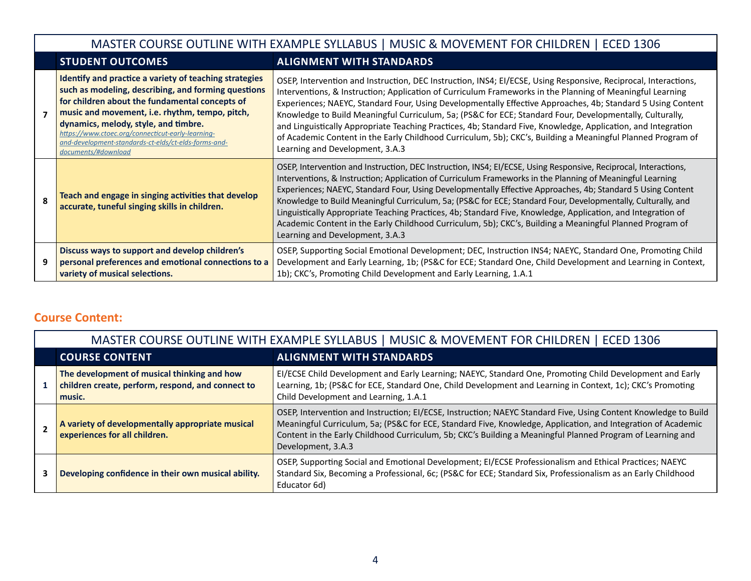|                                                                                                      | MASTER COURSE OUTLINE WITH EXAMPLE SYLLABUS   MUSIC & MOVEMENT FOR CHILDREN   ECED 1306                                                                                                                                                                                                                                                                                                       |                                                                                                                                                                                                                                                                                                                                                                                                                                                                                                                                                                                                                                                                                                                            |  |  |  |
|------------------------------------------------------------------------------------------------------|-----------------------------------------------------------------------------------------------------------------------------------------------------------------------------------------------------------------------------------------------------------------------------------------------------------------------------------------------------------------------------------------------|----------------------------------------------------------------------------------------------------------------------------------------------------------------------------------------------------------------------------------------------------------------------------------------------------------------------------------------------------------------------------------------------------------------------------------------------------------------------------------------------------------------------------------------------------------------------------------------------------------------------------------------------------------------------------------------------------------------------------|--|--|--|
|                                                                                                      | <b>STUDENT OUTCOMES</b><br><b>ALIGNMENT WITH STANDARDS</b>                                                                                                                                                                                                                                                                                                                                    |                                                                                                                                                                                                                                                                                                                                                                                                                                                                                                                                                                                                                                                                                                                            |  |  |  |
|                                                                                                      | Identify and practice a variety of teaching strategies<br>such as modeling, describing, and forming questions<br>for children about the fundamental concepts of<br>music and movement, i.e. rhythm, tempo, pitch,<br>dynamics, melody, style, and timbre.<br>https://www.ctoec.org/connecticut-early-learning-<br>and-development-standards-ct-elds/ct-elds-forms-and-<br>documents/#download | OSEP, Intervention and Instruction, DEC Instruction, INS4; EI/ECSE, Using Responsive, Reciprocal, Interactions,<br>Interventions, & Instruction; Application of Curriculum Frameworks in the Planning of Meaningful Learning<br>Experiences; NAEYC, Standard Four, Using Developmentally Effective Approaches, 4b; Standard 5 Using Content<br>Knowledge to Build Meaningful Curriculum, 5a; (PS&C for ECE; Standard Four, Developmentally, Culturally,<br>and Linguistically Appropriate Teaching Practices, 4b; Standard Five, Knowledge, Application, and Integration<br>of Academic Content in the Early Childhood Curriculum, 5b); CKC's, Building a Meaningful Planned Program of<br>Learning and Development, 3.A.3 |  |  |  |
| Teach and engage in singing activities that develop<br>accurate, tuneful singing skills in children. |                                                                                                                                                                                                                                                                                                                                                                                               | OSEP, Intervention and Instruction, DEC Instruction, INS4; EI/ECSE, Using Responsive, Reciprocal, Interactions,<br>Interventions, & Instruction; Application of Curriculum Frameworks in the Planning of Meaningful Learning<br>Experiences; NAEYC, Standard Four, Using Developmentally Effective Approaches, 4b; Standard 5 Using Content<br>Knowledge to Build Meaningful Curriculum, 5a; (PS&C for ECE; Standard Four, Developmentally, Culturally, and<br>Linguistically Appropriate Teaching Practices, 4b; Standard Five, Knowledge, Application, and Integration of<br>Academic Content in the Early Childhood Curriculum, 5b); CKC's, Building a Meaningful Planned Program of<br>Learning and Development, 3.A.3 |  |  |  |
|                                                                                                      | Discuss ways to support and develop children's<br>personal preferences and emotional connections to a<br>variety of musical selections.                                                                                                                                                                                                                                                       | OSEP, Supporting Social Emotional Development; DEC, Instruction INS4; NAEYC, Standard One, Promoting Child<br>Development and Early Learning, 1b; (PS&C for ECE; Standard One, Child Development and Learning in Context,<br>1b); CKC's, Promoting Child Development and Early Learning, 1.A.1                                                                                                                                                                                                                                                                                                                                                                                                                             |  |  |  |

## **Course Content:**

| MASTER COURSE OUTLINE WITH EXAMPLE SYLLABUS   MUSIC & MOVEMENT FOR CHILDREN   ECED 1306                                                                                                                                                                                                         |                                                                                                                                                                                                                                                                                                                                                                     |  |  |  |
|-------------------------------------------------------------------------------------------------------------------------------------------------------------------------------------------------------------------------------------------------------------------------------------------------|---------------------------------------------------------------------------------------------------------------------------------------------------------------------------------------------------------------------------------------------------------------------------------------------------------------------------------------------------------------------|--|--|--|
| <b>COURSE CONTENT</b>                                                                                                                                                                                                                                                                           | <b>ALIGNMENT WITH STANDARDS</b>                                                                                                                                                                                                                                                                                                                                     |  |  |  |
| The development of musical thinking and how<br>children create, perform, respond, and connect to<br>music.                                                                                                                                                                                      | EI/ECSE Child Development and Early Learning; NAEYC, Standard One, Promoting Child Development and Early<br>Learning, 1b; (PS&C for ECE, Standard One, Child Development and Learning in Context, 1c); CKC's Promoting<br>Child Development and Learning, 1.A.1                                                                                                     |  |  |  |
| A variety of developmentally appropriate musical<br>experiences for all children.                                                                                                                                                                                                               | OSEP, Intervention and Instruction; EI/ECSE, Instruction; NAEYC Standard Five, Using Content Knowledge to Build<br>Meaningful Curriculum, 5a; (PS&C for ECE, Standard Five, Knowledge, Application, and Integration of Academic<br>Content in the Early Childhood Curriculum, 5b; CKC's Building a Meaningful Planned Program of Learning and<br>Development, 3.A.3 |  |  |  |
| OSEP, Supporting Social and Emotional Development; EI/ECSE Professionalism and Ethical Practices; NAEYC<br>Standard Six, Becoming a Professional, 6c; (PS&C for ECE; Standard Six, Professionalism as an Early Childhood<br>Developing confidence in their own musical ability.<br>Educator 6d) |                                                                                                                                                                                                                                                                                                                                                                     |  |  |  |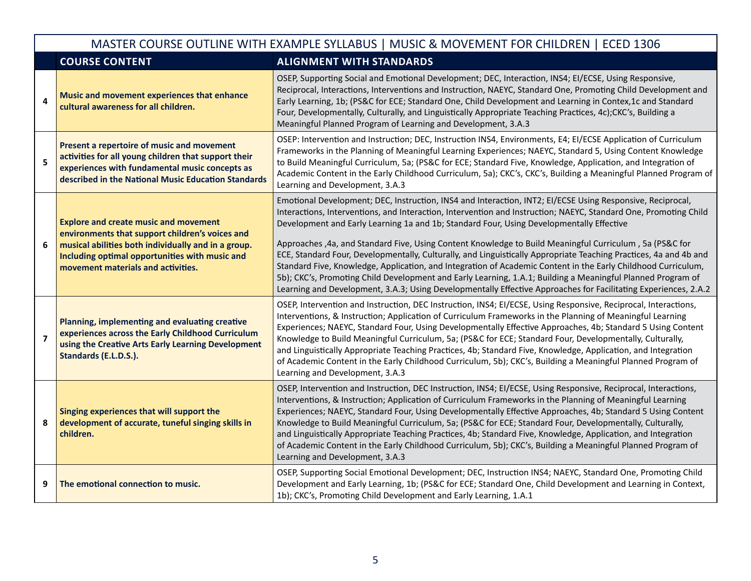|                | MASTER COURSE OUTLINE WITH EXAMPLE SYLLABUS   MUSIC & MOVEMENT FOR CHILDREN   ECED 1306                                                                                                                                                                                                                                                                                                                                                                                                                                                                                                                                                                                                                                                                                                                                                    |                                                                                                                                                                                                                                                                                                                                                                                                                                                                                                                                                                                                                                                                                                                                                                                                                                                                                                                |  |  |  |
|----------------|--------------------------------------------------------------------------------------------------------------------------------------------------------------------------------------------------------------------------------------------------------------------------------------------------------------------------------------------------------------------------------------------------------------------------------------------------------------------------------------------------------------------------------------------------------------------------------------------------------------------------------------------------------------------------------------------------------------------------------------------------------------------------------------------------------------------------------------------|----------------------------------------------------------------------------------------------------------------------------------------------------------------------------------------------------------------------------------------------------------------------------------------------------------------------------------------------------------------------------------------------------------------------------------------------------------------------------------------------------------------------------------------------------------------------------------------------------------------------------------------------------------------------------------------------------------------------------------------------------------------------------------------------------------------------------------------------------------------------------------------------------------------|--|--|--|
|                | <b>COURSE CONTENT</b>                                                                                                                                                                                                                                                                                                                                                                                                                                                                                                                                                                                                                                                                                                                                                                                                                      | <b>ALIGNMENT WITH STANDARDS</b>                                                                                                                                                                                                                                                                                                                                                                                                                                                                                                                                                                                                                                                                                                                                                                                                                                                                                |  |  |  |
| 4              | Music and movement experiences that enhance<br>cultural awareness for all children.                                                                                                                                                                                                                                                                                                                                                                                                                                                                                                                                                                                                                                                                                                                                                        | OSEP, Supporting Social and Emotional Development; DEC, Interaction, INS4; El/ECSE, Using Responsive,<br>Reciprocal, Interactions, Interventions and Instruction, NAEYC, Standard One, Promoting Child Development and<br>Early Learning, 1b; (PS&C for ECE; Standard One, Child Development and Learning in Contex, 1c and Standard<br>Four, Developmentally, Culturally, and Linguistically Appropriate Teaching Practices, 4c);CKC's, Building a<br>Meaningful Planned Program of Learning and Development, 3.A.3                                                                                                                                                                                                                                                                                                                                                                                           |  |  |  |
| 5              | Present a repertoire of music and movement<br>activities for all young children that support their<br>experiences with fundamental music concepts as<br>described in the National Music Education Standards                                                                                                                                                                                                                                                                                                                                                                                                                                                                                                                                                                                                                                | OSEP: Intervention and Instruction; DEC, Instruction INS4, Environments, E4; EI/ECSE Application of Curriculum<br>Frameworks in the Planning of Meaningful Learning Experiences; NAEYC, Standard 5, Using Content Knowledge<br>to Build Meaningful Curriculum, 5a; (PS&C for ECE; Standard Five, Knowledge, Application, and Integration of<br>Academic Content in the Early Childhood Curriculum, 5a); CKC's, CKC's, Building a Meaningful Planned Program of<br>Learning and Development, 3.A.3                                                                                                                                                                                                                                                                                                                                                                                                              |  |  |  |
| 6              | <b>Explore and create music and movement</b><br>environments that support children's voices and<br>musical abilities both individually and in a group.<br>Including optimal opportunities with music and<br>movement materials and activities.                                                                                                                                                                                                                                                                                                                                                                                                                                                                                                                                                                                             | Emotional Development; DEC, Instruction, INS4 and Interaction, INT2; EI/ECSE Using Responsive, Reciprocal,<br>Interactions, Interventions, and Interaction, Intervention and Instruction; NAEYC, Standard One, Promoting Child<br>Development and Early Learning 1a and 1b; Standard Four, Using Developmentally Effective<br>Approaches , 4a, and Standard Five, Using Content Knowledge to Build Meaningful Curriculum, 5a (PS&C for<br>ECE, Standard Four, Developmentally, Culturally, and Linguistically Appropriate Teaching Practices, 4a and 4b and<br>Standard Five, Knowledge, Application, and Integration of Academic Content in the Early Childhood Curriculum,<br>5b); CKC's, Promoting Child Development and Early Learning, 1.A.1; Building a Meaningful Planned Program of<br>Learning and Development, 3.A.3; Using Developmentally Effective Approaches for Facilitating Experiences, 2.A.2 |  |  |  |
| $\overline{7}$ | Planning, implementing and evaluating creative<br>experiences across the Early Childhood Curriculum<br>using the Creative Arts Early Learning Development<br>Standards (E.L.D.S.).                                                                                                                                                                                                                                                                                                                                                                                                                                                                                                                                                                                                                                                         | OSEP, Intervention and Instruction, DEC Instruction, INS4; EI/ECSE, Using Responsive, Reciprocal, Interactions,<br>Interventions, & Instruction; Application of Curriculum Frameworks in the Planning of Meaningful Learning<br>Experiences; NAEYC, Standard Four, Using Developmentally Effective Approaches, 4b; Standard 5 Using Content<br>Knowledge to Build Meaningful Curriculum, 5a; (PS&C for ECE; Standard Four, Developmentally, Culturally,<br>and Linguistically Appropriate Teaching Practices, 4b; Standard Five, Knowledge, Application, and Integration<br>of Academic Content in the Early Childhood Curriculum, 5b); CKC's, Building a Meaningful Planned Program of<br>Learning and Development, 3.A.3                                                                                                                                                                                     |  |  |  |
| 8              | OSEP, Intervention and Instruction, DEC Instruction, INS4; EI/ECSE, Using Responsive, Reciprocal, Interactions,<br>Interventions, & Instruction; Application of Curriculum Frameworks in the Planning of Meaningful Learning<br>Singing experiences that will support the<br>Experiences; NAEYC, Standard Four, Using Developmentally Effective Approaches, 4b; Standard 5 Using Content<br>development of accurate, tuneful singing skills in<br>Knowledge to Build Meaningful Curriculum, 5a; (PS&C for ECE; Standard Four, Developmentally, Culturally,<br>and Linguistically Appropriate Teaching Practices, 4b; Standard Five, Knowledge, Application, and Integration<br>children.<br>of Academic Content in the Early Childhood Curriculum, 5b); CKC's, Building a Meaningful Planned Program of<br>Learning and Development, 3.A.3 |                                                                                                                                                                                                                                                                                                                                                                                                                                                                                                                                                                                                                                                                                                                                                                                                                                                                                                                |  |  |  |
| 9              | The emotional connection to music.                                                                                                                                                                                                                                                                                                                                                                                                                                                                                                                                                                                                                                                                                                                                                                                                         | OSEP, Supporting Social Emotional Development; DEC, Instruction INS4; NAEYC, Standard One, Promoting Child<br>Development and Early Learning, 1b; (PS&C for ECE; Standard One, Child Development and Learning in Context,<br>1b); CKC's, Promoting Child Development and Early Learning, 1.A.1                                                                                                                                                                                                                                                                                                                                                                                                                                                                                                                                                                                                                 |  |  |  |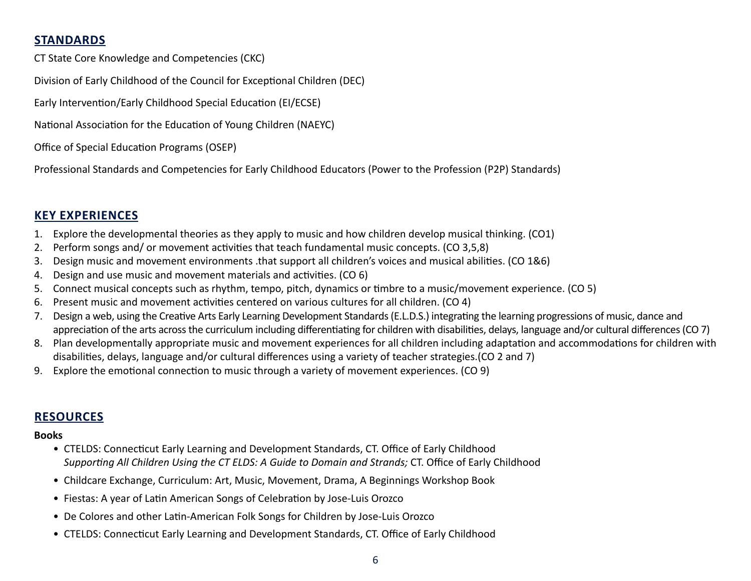### **STANDARDS**

CT State Core Knowledge and Competencies (CKC)

Division of Early Childhood of the Council for Exceptional Children (DEC)

Early Intervention/Early Childhood Special Education (EI/ECSE)

National Association for the Education of Young Children (NAEYC)

Office of Special Education Programs (OSEP)

Professional Standards and Competencies for Early Childhood Educators (Power to the Profession (P2P) Standards)

### **KEY EXPERIENCES**

- 1. Explore the developmental theories as they apply to music and how children develop musical thinking. (CO1)
- 2. Perform songs and/ or movement activities that teach fundamental music concepts. (CO 3,5,8)
- 3. Design music and movement environments .that support all children's voices and musical abilities. (CO 1&6)
- 4. Design and use music and movement materials and activities. (CO 6)
- 5. Connect musical concepts such as rhythm, tempo, pitch, dynamics or timbre to a music/movement experience. (CO 5)
- 6. Present music and movement activities centered on various cultures for all children. (CO 4)
- 7. Design a web, using the Creative Arts Early Learning Development Standards (E.L.D.S.) integrating the learning progressions of music, dance and appreciation of the arts across the curriculum including differentiating for children with disabilities, delays, language and/or cultural differences (CO 7)
- 8. Plan developmentally appropriate music and movement experiences for all children including adaptation and accommodations for children with disabilities, delays, language and/or cultural differences using a variety of teacher strategies.(CO 2 and 7)
- 9. Explore the emotional connection to music through a variety of movement experiences. (CO 9)

### **RESOURCES**

### **Books**

- CTELDS: Connecticut Early Learning and Development Standards, CT. Office of Early Childhood *Supporting All Children Using the CT ELDS: A Guide to Domain and Strands;* CT. Office of Early Childhood
- Childcare Exchange, Curriculum: Art, Music, Movement, Drama, A Beginnings Workshop Book
- Fiestas: A year of Latin American Songs of Celebration by Jose-Luis Orozco
- De Colores and other Latin-American Folk Songs for Children by Jose-Luis Orozco
- CTELDS: Connecticut Early Learning and Development Standards, CT. Office of Early Childhood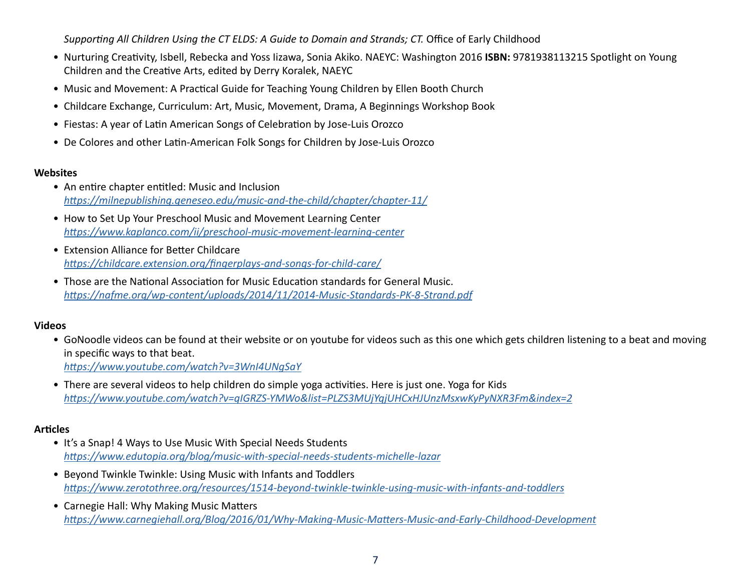*Supporting All Children Using the CT ELDS: A Guide to Domain and Strands; CT.* Office of Early Childhood

- Nurturing Creativity, Isbell, Rebecka and Yoss Iizawa, Sonia Akiko. NAEYC: Washington 2016 **ISBN:** 9781938113215 Spotlight on Young Children and the Creative Arts, edited by Derry Koralek, NAEYC
- Music and Movement: A Practical Guide for Teaching Young Children by Ellen Booth Church
- Childcare Exchange, Curriculum: Art, Music, Movement, Drama, A Beginnings Workshop Book
- Fiestas: A year of Latin American Songs of Celebration by Jose-Luis Orozco
- De Colores and other Latin-American Folk Songs for Children by Jose-Luis Orozco

#### **Websites**

- An entire chapter entitled: Music and Inclusion *<https://milnepublishing.geneseo.edu/music-and-the-child/chapter/chapter-11/>*
- How to Set Up Your Preschool Music and Movement Learning Center *<https://www.kaplanco.com/ii/preschool-music-movement-learning-center>*
- Extension Alliance for Better Childcare *<https://childcare.extension.org/fingerplays-and-songs-for-child-care/>*
- Those are the National Association for Music Education standards for General Music. *<https://nafme.org/wp-content/uploads/2014/11/2014-Music-Standards-PK-8-Strand.pdf>*

### **Videos**

- GoNoodle videos can be found at their website or on youtube for videos such as this one which gets children listening to a beat and moving in specific ways to that beat. *<https://www.youtube.com/watch?v=3WnI4UNgSaY>*
- There are several videos to help children do simple yoga activities. Here is just one. Yoga for Kids *<https://www.youtube.com/watch?v=qIGRZS-YMWo&list=PLZS3MUjYqjUHCxHJUnzMsxwKyPyNXR3Fm&index=2>*

### **Articles**

- It's a Snap! 4 Ways to Use Music With Special Needs Students *<https://www.edutopia.org/blog/music-with-special-needs-students-michelle-lazar>*
- Beyond Twinkle Twinkle: Using Music with Infants and Toddlers *[https://www.zerotothree.org/resources/1514-beyond-twinkle-twinkle-using-music-with-infants-and-toddlers](https://www.edutopia.org/blog/music-with-special-needs-students-michelle-lazar)*
- Carnegie Hall: Why Making Music Matters *[https://www.carnegiehall.org/Blog/2016/01/Why-Making-Music-Matters-Music-and-Early-Childhood-Development](https://www.edutopia.org/blog/music-with-special-needs-students-michelle-lazar)*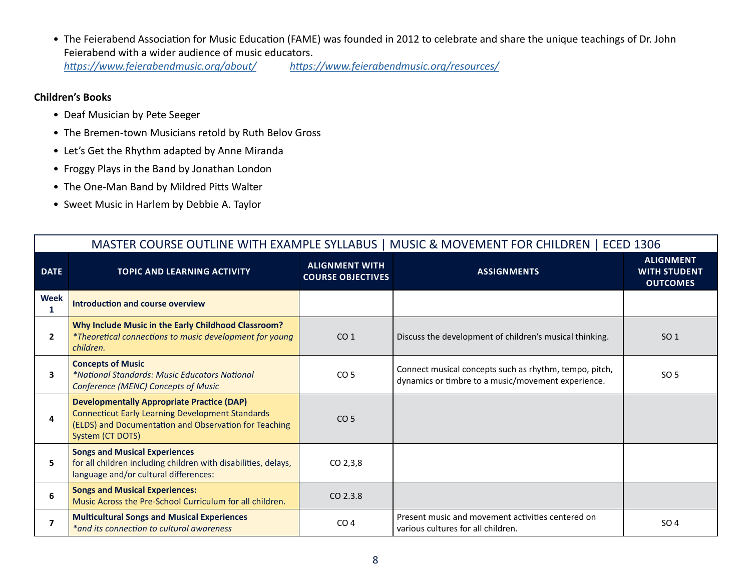• The Feierabend Association for Music Education (FAME) was founded in 2012 to celebrate and share the unique teachings of Dr. John Feierabend with a wider audience of music educators. *<https://www.feierabendmusic.org/about/> <https://www.feierabendmusic.org/resources/>*

#### **Children's Books**

- Deaf Musician by Pete Seeger
- The Bremen-town Musicians retold by Ruth Belov Gross
- Let's Get the Rhythm adapted by Anne Miranda
- Froggy Plays in the Band by Jonathan London
- The One-Man Band by Mildred Pitts Walter
- Sweet Music in Harlem by Debbie A. Taylor

| MASTER COURSE OUTLINE WITH EXAMPLE SYLLABUS   MUSIC & MOVEMENT FOR CHILDREN   ECED 1306 |                                                                                                                                                                                           |                                                   |                                                                                                              |                                                            |
|-----------------------------------------------------------------------------------------|-------------------------------------------------------------------------------------------------------------------------------------------------------------------------------------------|---------------------------------------------------|--------------------------------------------------------------------------------------------------------------|------------------------------------------------------------|
| <b>DATE</b>                                                                             | <b>TOPIC AND LEARNING ACTIVITY</b>                                                                                                                                                        | <b>ALIGNMENT WITH</b><br><b>COURSE OBJECTIVES</b> | <b>ASSIGNMENTS</b>                                                                                           | <b>ALIGNMENT</b><br><b>WITH STUDENT</b><br><b>OUTCOMES</b> |
| Week<br>1                                                                               | Introduction and course overview                                                                                                                                                          |                                                   |                                                                                                              |                                                            |
| $\mathbf{2}$                                                                            | Why Include Music in the Early Childhood Classroom?<br>*Theoretical connections to music development for young<br>children.                                                               | CO <sub>1</sub>                                   | Discuss the development of children's musical thinking.                                                      | SO <sub>1</sub>                                            |
| 3                                                                                       | <b>Concepts of Music</b><br><i>*National Standards: Music Educators National</i><br><b>Conference (MENC) Concepts of Music</b>                                                            | CO <sub>5</sub>                                   | Connect musical concepts such as rhythm, tempo, pitch,<br>dynamics or timbre to a music/movement experience. | SO 5                                                       |
| 4                                                                                       | <b>Developmentally Appropriate Practice (DAP)</b><br><b>Connecticut Early Learning Development Standards</b><br>(ELDS) and Documentation and Observation for Teaching<br>System (CT DOTS) | CO <sub>5</sub>                                   |                                                                                                              |                                                            |
| 5                                                                                       | <b>Songs and Musical Experiences</b><br>for all children including children with disabilities, delays,<br>language and/or cultural differences:                                           | CO <sub>2,3,8</sub>                               |                                                                                                              |                                                            |
| 6                                                                                       | <b>Songs and Musical Experiences:</b><br>Music Across the Pre-School Curriculum for all children.                                                                                         | CO 2.3.8                                          |                                                                                                              |                                                            |
| $\overline{7}$                                                                          | <b>Multicultural Songs and Musical Experiences</b><br>*and its connection to cultural awareness                                                                                           | CO <sub>4</sub>                                   | Present music and movement activities centered on<br>various cultures for all children.                      | SO <sub>4</sub>                                            |